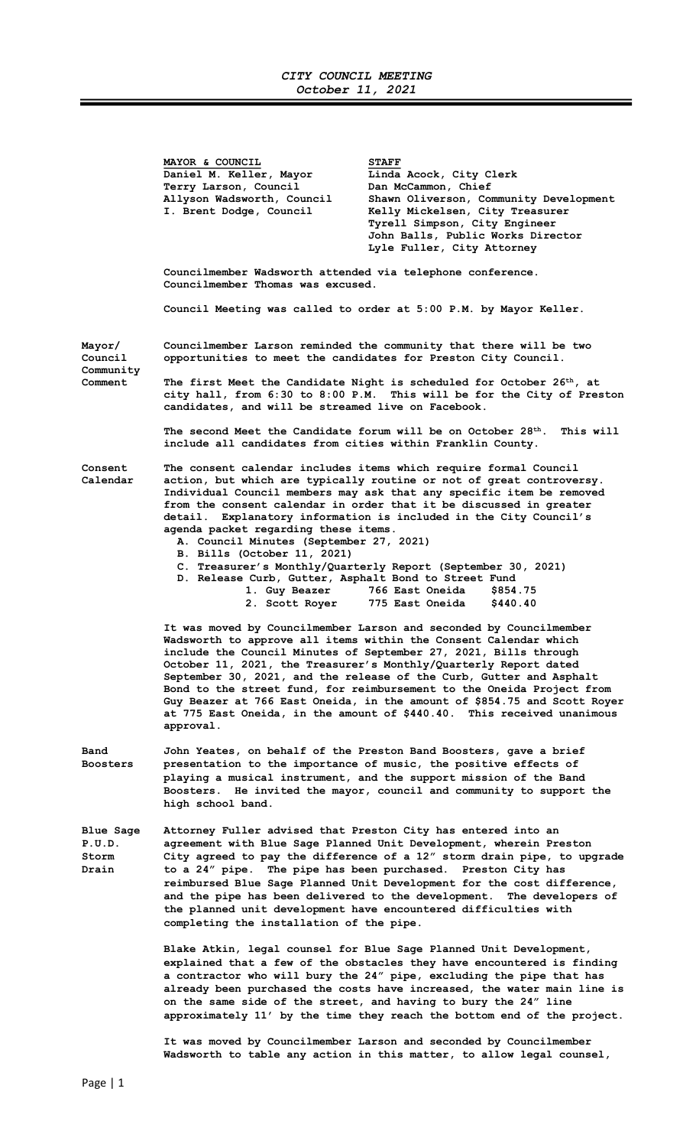## CITY COUNCIL MEETING October 11, 2021

MAYOR & COUNCIL<br>Daniel M. Keller, Mayor Linda Iinda Acock, City Clerk<br>Dan McCammon, Chief Terry Larson, Council<br>Allyson Wadsworth, Council Allyson Wadsworth, Council Shawn Oliverson, Community Development<br>I. Brent Dodge, Council Kelly Mickelsen, City Treasurer Kelly Mickelsen, City Treasurer Tyrell Simpson, City Engineer John Balls, Public Works Director Lyle Fuller, City Attorney Councilmember Wadsworth attended via telephone conference. Councilmember Thomas was excused. Council Meeting was called to order at 5:00 P.M. by Mayor Keller. Mayor/ Councilmember Larson reminded the community that there will be two Council opportunities to meet the candidates for Preston City Council. Community<br>Comment The first Meet the Candidate Night is scheduled for October 26<sup>th</sup>, at city hall, from 6:30 to 8:00 P.M. This will be for the City of Preston candidates, and will be streamed live on Facebook. The second Meet the Candidate forum will be on October  $28^{th}$ . This will include all candidates from cities within Franklin County. Consent The consent calendar includes items which require formal Council Calendar action, but which are typically routine or not of great controversy. Individual Council members may ask that any specific item be removed from the consent calendar in order that it be discussed in greater detail. Explanatory information is included in the City Council's agenda packet regarding these items. A. Council Minutes (September 27, 2021) B. Bills (October 11, 2021) C. Treasurer's Monthly/Quarterly Report (September 30, 2021) D. Release Curb, Gutter, Asphalt Bond to Street Fund 1. Guy Beazer 766 East Oneida \$854.75 2. Scott Royer 775 East Oneida \$440.40 It was moved by Councilmember Larson and seconded by Councilmember Wadsworth to approve all items within the Consent Calendar which include the Council Minutes of September 27, 2021, Bills through October 11, 2021, the Treasurer's Monthly/Quarterly Report dated September 30, 2021, and the release of the Curb, Gutter and Asphalt Bond to the street fund, for reimbursement to the Oneida Project from Guy Beazer at 766 East Oneida, in the amount of \$854.75 and Scott Royer at 775 East Oneida, in the amount of \$440.40. This received unanimous approval. Band John Yeates, on behalf of the Preston Band Boosters, gave a brief Boosters presentation to the importance of music, the positive effects of playing a musical instrument, and the support mission of the Band Boosters. He invited the mayor, council and community to support the high school band. Blue Sage Attorney Fuller advised that Preston City has entered into an P.U.D. agreement with Blue Sage Planned Unit Development, wherein Preston Storm City agreed to pay the difference of a 12" storm drain pipe, to upgrade Drain to a 24" pipe. The pipe has been purchased. Preston City has reimbursed Blue Sage Planned Unit Development for the cost difference, and the pipe has been delivered to the development. The developers of the planned unit development have encountered difficulties with completing the installation of the pipe. Blake Atkin, legal counsel for Blue Sage Planned Unit Development, explained that a few of the obstacles they have encountered is finding a contractor who will bury the 24" pipe, excluding the pipe that has already been purchased the costs have increased, the water main line is on the same side of the street, and having to bury the 24" line approximately 11' by the time they reach the bottom end of the project.

> It was moved by Councilmember Larson and seconded by Councilmember Wadsworth to table any action in this matter, to allow legal counsel,